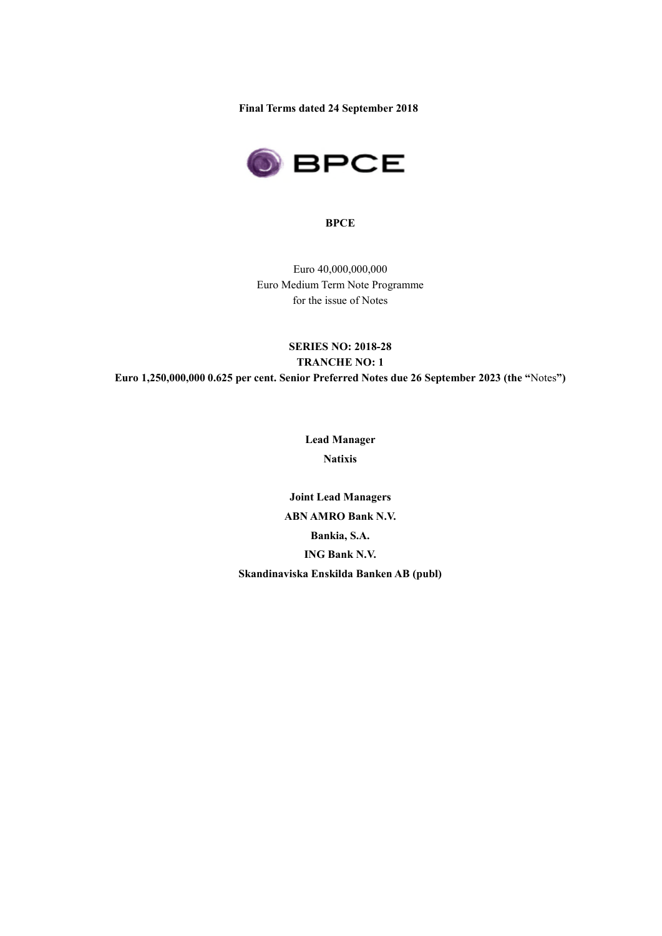**Final Terms dated 24 September 2018** 



### **BPCE**

Euro 40,000,000,000 Euro Medium Term Note Programme for the issue of Notes

# **SERIES NO: 2018-28 TRANCHE NO: 1 Euro 1,250,000,000 0.625 per cent. Senior Preferred Notes due 26 September 2023 (the "**Notes**")**

**Lead Manager Natixis** 

**Joint Lead Managers ABN AMRO Bank N.V. Bankia, S.A. ING Bank N.V. Skandinaviska Enskilda Banken AB (publ)**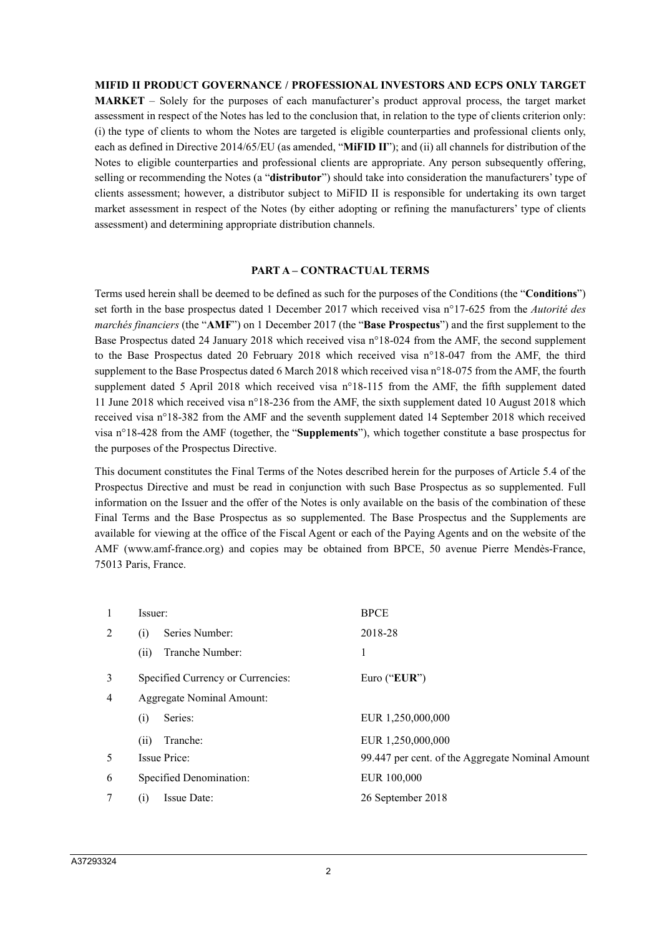#### **MIFID II PRODUCT GOVERNANCE / PROFESSIONAL INVESTORS AND ECPS ONLY TARGET**

**MARKET** – Solely for the purposes of each manufacturer's product approval process, the target market assessment in respect of the Notes has led to the conclusion that, in relation to the type of clients criterion only: (i) the type of clients to whom the Notes are targeted is eligible counterparties and professional clients only, each as defined in Directive 2014/65/EU (as amended, "**MiFID II**"); and (ii) all channels for distribution of the Notes to eligible counterparties and professional clients are appropriate. Any person subsequently offering, selling or recommending the Notes (a "**distributor**") should take into consideration the manufacturers' type of clients assessment; however, a distributor subject to MiFID II is responsible for undertaking its own target market assessment in respect of the Notes (by either adopting or refining the manufacturers' type of clients assessment) and determining appropriate distribution channels.

#### **PART A – CONTRACTUAL TERMS**

Terms used herein shall be deemed to be defined as such for the purposes of the Conditions (the "**Conditions**") set forth in the base prospectus dated 1 December 2017 which received visa n°17-625 from the *Autorité des marchés financiers* (the "**AMF**") on 1 December 2017 (the "**Base Prospectus**") and the first supplement to the Base Prospectus dated 24 January 2018 which received visa n°18-024 from the AMF, the second supplement to the Base Prospectus dated 20 February 2018 which received visa n°18-047 from the AMF, the third supplement to the Base Prospectus dated 6 March 2018 which received visa n°18-075 from the AMF, the fourth supplement dated 5 April 2018 which received visa n°18-115 from the AMF, the fifth supplement dated 11 June 2018 which received visa n°18-236 from the AMF, the sixth supplement dated 10 August 2018 which received visa n°18-382 from the AMF and the seventh supplement dated 14 September 2018 which received visa n°18-428 from the AMF (together, the "**Supplements**"), which together constitute a base prospectus for the purposes of the Prospectus Directive.

This document constitutes the Final Terms of the Notes described herein for the purposes of Article 5.4 of the Prospectus Directive and must be read in conjunction with such Base Prospectus as so supplemented. Full information on the Issuer and the offer of the Notes is only available on the basis of the combination of these Final Terms and the Base Prospectus as so supplemented. The Base Prospectus and the Supplements are available for viewing at the office of the Fiscal Agent or each of the Paying Agents and on the website of the AMF (www.amf-france.org) and copies may be obtained from BPCE, 50 avenue Pierre Mendès-France, 75013 Paris, France.

| 1              | Issuer:                           | <b>BPCE</b>                                      |
|----------------|-----------------------------------|--------------------------------------------------|
| 2              | Series Number:<br>(i)             | 2018-28                                          |
|                | Tranche Number:<br>(i)            | 1                                                |
| 3              | Specified Currency or Currencies: | Euro (" $EUR$ ")                                 |
| $\overline{4}$ | Aggregate Nominal Amount:         |                                                  |
|                | Series:<br>(i)                    | EUR 1,250,000,000                                |
|                | Tranche:<br>(ii)                  | EUR 1,250,000,000                                |
| 5              | Issue Price:                      | 99.447 per cent. of the Aggregate Nominal Amount |
| 6              | Specified Denomination:           | EUR 100,000                                      |
| 7              | Issue Date:<br>(1)                | 26 September 2018                                |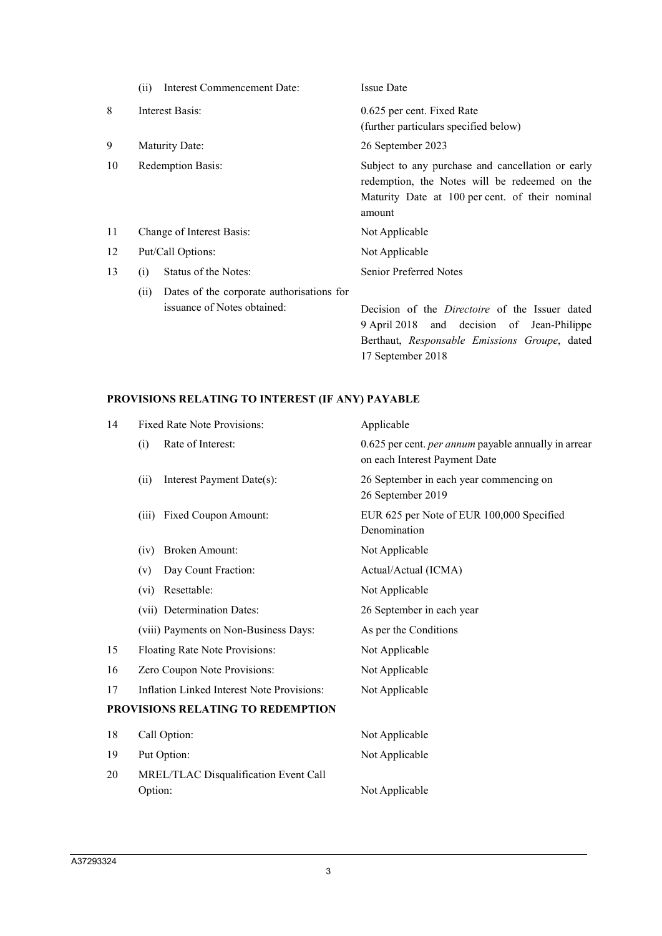|    | Interest Commencement Date:<br>(ii)                                              | <b>Issue Date</b>                                                                                                                                               |
|----|----------------------------------------------------------------------------------|-----------------------------------------------------------------------------------------------------------------------------------------------------------------|
| 8  | Interest Basis:                                                                  | 0.625 per cent. Fixed Rate<br>(further particulars specified below)                                                                                             |
| 9  | Maturity Date:                                                                   | 26 September 2023                                                                                                                                               |
| 10 | <b>Redemption Basis:</b>                                                         | Subject to any purchase and cancellation or early<br>redemption, the Notes will be redeemed on the<br>Maturity Date at 100 per cent. of their nominal<br>amount |
| 11 | Change of Interest Basis:                                                        | Not Applicable                                                                                                                                                  |
| 12 | Put/Call Options:                                                                | Not Applicable                                                                                                                                                  |
| 13 | Status of the Notes:<br>(i)                                                      | <b>Senior Preferred Notes</b>                                                                                                                                   |
|    | Dates of the corporate authorisations for<br>(ii)<br>issuance of Notes obtained: | Decision of the <i>Directoire</i> of the Issuer dated<br>9 April 2018 and decision of Jean-Philippe<br>Berthaut, Responsable Emissions Groupe, dated            |

17 September 2018

# **PROVISIONS RELATING TO INTEREST (IF ANY) PAYABLE**

| 14 | Fixed Rate Note Provisions:                       | Applicable                                                                                   |
|----|---------------------------------------------------|----------------------------------------------------------------------------------------------|
|    | Rate of Interest:<br>(i)                          | 0.625 per cent. <i>per annum</i> payable annually in arrear<br>on each Interest Payment Date |
|    | (ii)<br>Interest Payment Date(s):                 | 26 September in each year commencing on<br>26 September 2019                                 |
|    | Fixed Coupon Amount:<br>(iii)                     | EUR 625 per Note of EUR 100,000 Specified<br>Denomination                                    |
|    | <b>Broken Amount:</b><br>(iv)                     | Not Applicable                                                                               |
|    | Day Count Fraction:<br>(v)                        | Actual/Actual (ICMA)                                                                         |
|    | Resettable:<br>(vi)                               | Not Applicable                                                                               |
|    | (vii) Determination Dates:                        | 26 September in each year                                                                    |
|    | (viii) Payments on Non-Business Days:             | As per the Conditions                                                                        |
| 15 | Floating Rate Note Provisions:                    | Not Applicable                                                                               |
| 16 | Zero Coupon Note Provisions:                      | Not Applicable                                                                               |
| 17 | <b>Inflation Linked Interest Note Provisions:</b> | Not Applicable                                                                               |
|    | <b>PROVISIONS RELATING TO REDEMPTION</b>          |                                                                                              |
| 18 | Call Option:                                      | Not Applicable                                                                               |
| 19 | Put Option:                                       | Not Applicable                                                                               |
| 20 | MREL/TLAC Disqualification Event Call             |                                                                                              |
|    | Option:                                           | Not Applicable                                                                               |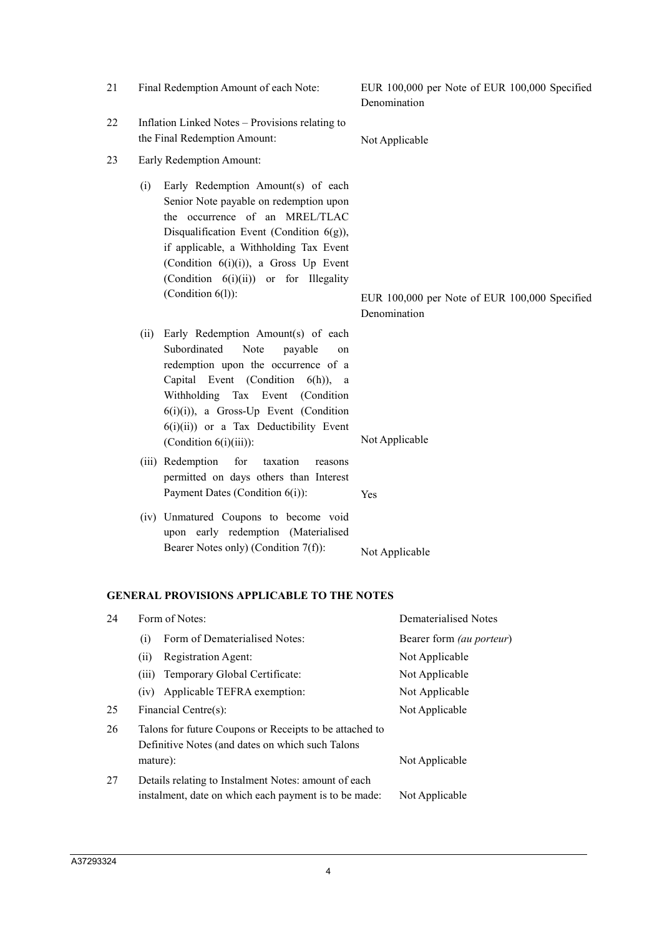|    |                                                                                                                         | (Condition $6(i)(i)$ ), a Gross Up Event<br>(Condition 6(i)(ii)) or for Illegality<br>(Condition 6(1)):                                                                                                                                                                                                               | Denomination   | EUR 100,000 per Note of EUR 100,000 Specified |
|----|-------------------------------------------------------------------------------------------------------------------------|-----------------------------------------------------------------------------------------------------------------------------------------------------------------------------------------------------------------------------------------------------------------------------------------------------------------------|----------------|-----------------------------------------------|
|    | (ii)                                                                                                                    | Early Redemption Amount(s) of each<br>Subordinated<br>Note<br>payable<br>on<br>redemption upon the occurrence of a<br>Capital Event (Condition<br>$6(h)$ , a<br>Withholding<br>Tax Event<br>(Condition<br>$6(i)(i)$ , a Gross-Up Event (Condition<br>6(i)(ii)) or a Tax Deductibility Event<br>(Condition 6(i)(iii)): |                | Not Applicable                                |
|    |                                                                                                                         | for<br>(iii) Redemption<br>taxation<br>reasons<br>permitted on days others than Interest<br>Payment Dates (Condition 6(i)):                                                                                                                                                                                           | Yes            |                                               |
|    |                                                                                                                         | (iv) Unmatured Coupons to become void<br>upon early redemption (Materialised<br>Bearer Notes only) (Condition 7(f)):                                                                                                                                                                                                  |                | Not Applicable                                |
|    |                                                                                                                         | <b>GENERAL PROVISIONS APPLICABLE TO THE NOTES</b>                                                                                                                                                                                                                                                                     |                |                                               |
| 24 |                                                                                                                         | Form of Notes:                                                                                                                                                                                                                                                                                                        |                | <b>Dematerialised Notes</b>                   |
|    | (i)                                                                                                                     | Form of Dematerialised Notes:                                                                                                                                                                                                                                                                                         |                | Bearer form (au porteur)                      |
|    | (ii)                                                                                                                    | Registration Agent:                                                                                                                                                                                                                                                                                                   |                | Not Applicable                                |
|    |                                                                                                                         | (iii) Temporary Global Certificate:                                                                                                                                                                                                                                                                                   |                | Not Applicable                                |
|    | (iv)                                                                                                                    | Applicable TEFRA exemption:                                                                                                                                                                                                                                                                                           |                | Not Applicable                                |
| 25 |                                                                                                                         | Financial Centre(s):                                                                                                                                                                                                                                                                                                  |                | Not Applicable                                |
| 26 | Talons for future Coupons or Receipts to be attached to<br>Definitive Notes (and dates on which such Talons<br>mature): |                                                                                                                                                                                                                                                                                                                       | Not Applicable |                                               |
| 27 |                                                                                                                         | Details relating to Instalment Notes: amount of each<br>instalment, date on which each payment is to be made:                                                                                                                                                                                                         |                | Not Applicable                                |

- 22 Inflation Linked Notes Provisions relating to the Final Redemption Amount: Not Applicable
- 23 Early Redemption Amount:
	- (i) Early Redemption Amount(s) of each Senior Note payable on redemption upon the occurrence of an MREL/TLAC Disqualification Event (Condition 6(g)), if applicable, a Withholding Tax Event

21 Final Redemption Amount of each Note: EUR 100,000 per Note of EUR 100,000 Specified Denomination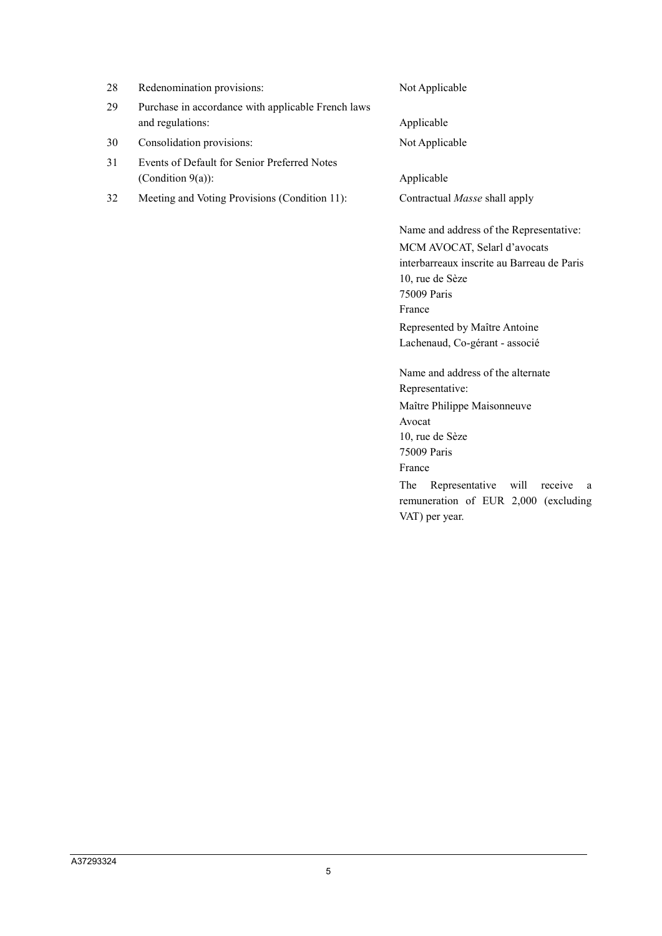| 28. | Redenomination provisions:                                             | Not Applicable                          |
|-----|------------------------------------------------------------------------|-----------------------------------------|
| 29. | Purchase in accordance with applicable French laws<br>and regulations: | Applicable                              |
| 30  | Consolidation provisions:                                              | Not Applicable                          |
| 31  | Events of Default for Senior Preferred Notes<br>(Condition $9(a)$ ):   | Applicable                              |
| 32  | Meeting and Voting Provisions (Condition 11):                          | Contractual Masse shall apply           |
|     |                                                                        | Name and address of the Representative: |
|     |                                                                        | MCM AVOCAT, Selarl d'avocats            |

interbarreaux inscrite au Barreau de Paris 10, rue de Sèze 75009 Paris France Represented by Maître Antoine Lachenaud, Co-gérant - associé

Name and address of the alternate Representative: Maître Philippe Maisonneuve Avocat 10, rue de Sèze 75009 Paris France

The Representative will receive a remuneration of EUR 2,000 (excluding VAT) per year.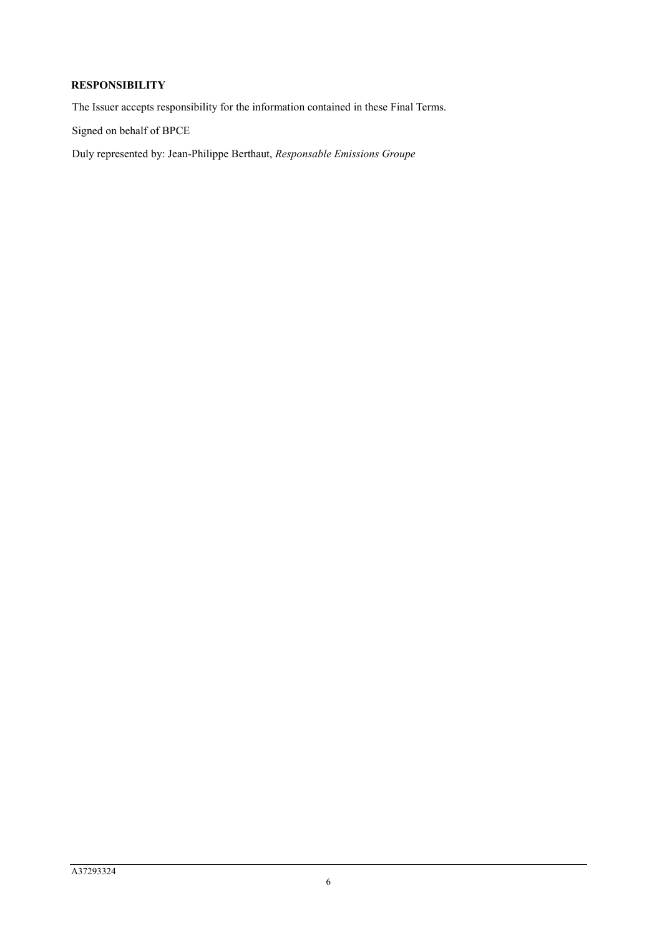# **RESPONSIBILITY**

The Issuer accepts responsibility for the information contained in these Final Terms.

Signed on behalf of BPCE

Duly represented by: Jean-Philippe Berthaut, *Responsable Emissions Groupe*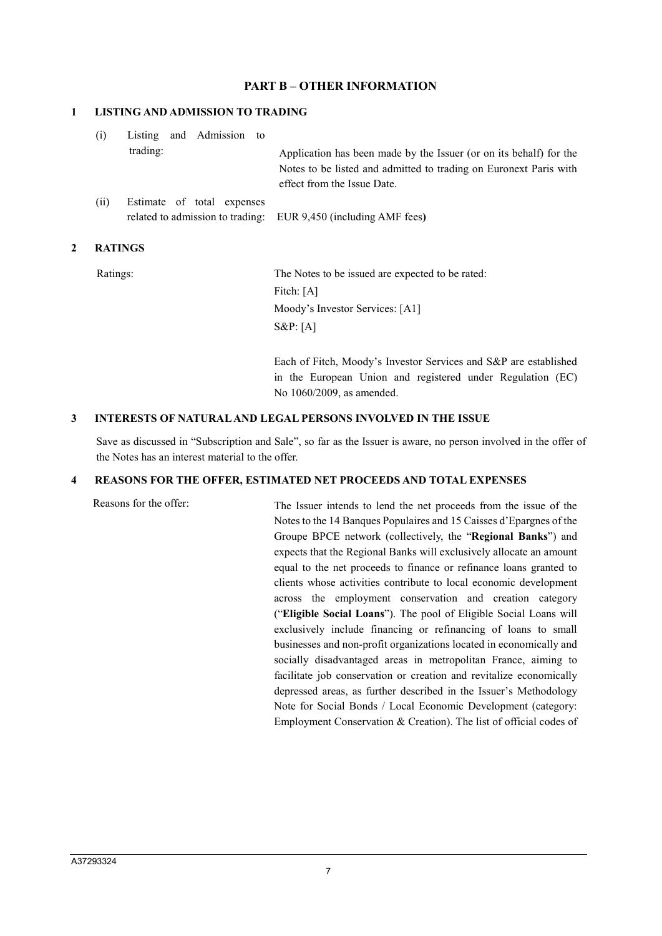## **PART B – OTHER INFORMATION**

#### **1 LISTING AND ADMISSION TO TRADING**

| (i)  | Listing and Admission to<br>trading: | Application has been made by the Issuer (or on its behalf) for the<br>Notes to be listed and admitted to trading on Euronext Paris with<br>effect from the Issue Date. |
|------|--------------------------------------|------------------------------------------------------------------------------------------------------------------------------------------------------------------------|
| (ii) | Estimate of total expenses           |                                                                                                                                                                        |
|      |                                      | related to admission to trading: EUR 9,450 (including AMF fees)                                                                                                        |

#### **2 RATINGS**

Ratings: The Notes to be issued are expected to be rated: Fitch: [A] Moody's Investor Services: [A1] S&P: [A]

> Each of Fitch, Moody's Investor Services and S&P are established in the European Union and registered under Regulation (EC) No 1060/2009, as amended.

#### **3 INTERESTS OF NATURAL AND LEGAL PERSONS INVOLVED IN THE ISSUE**

Save as discussed in "Subscription and Sale", so far as the Issuer is aware, no person involved in the offer of the Notes has an interest material to the offer.

#### **4 REASONS FOR THE OFFER, ESTIMATED NET PROCEEDS AND TOTAL EXPENSES**

Reasons for the offer: The Issuer intends to lend the net proceeds from the issue of the Notes to the 14 Banques Populaires and 15 Caisses d'Epargnes of the Groupe BPCE network (collectively, the "**Regional Banks**") and expects that the Regional Banks will exclusively allocate an amount equal to the net proceeds to finance or refinance loans granted to clients whose activities contribute to local economic development across the employment conservation and creation category ("**Eligible Social Loans**"). The pool of Eligible Social Loans will exclusively include financing or refinancing of loans to small businesses and non-profit organizations located in economically and socially disadvantaged areas in metropolitan France, aiming to facilitate job conservation or creation and revitalize economically depressed areas, as further described in the Issuer's Methodology Note for Social Bonds / Local Economic Development (category: Employment Conservation & Creation). The list of official codes of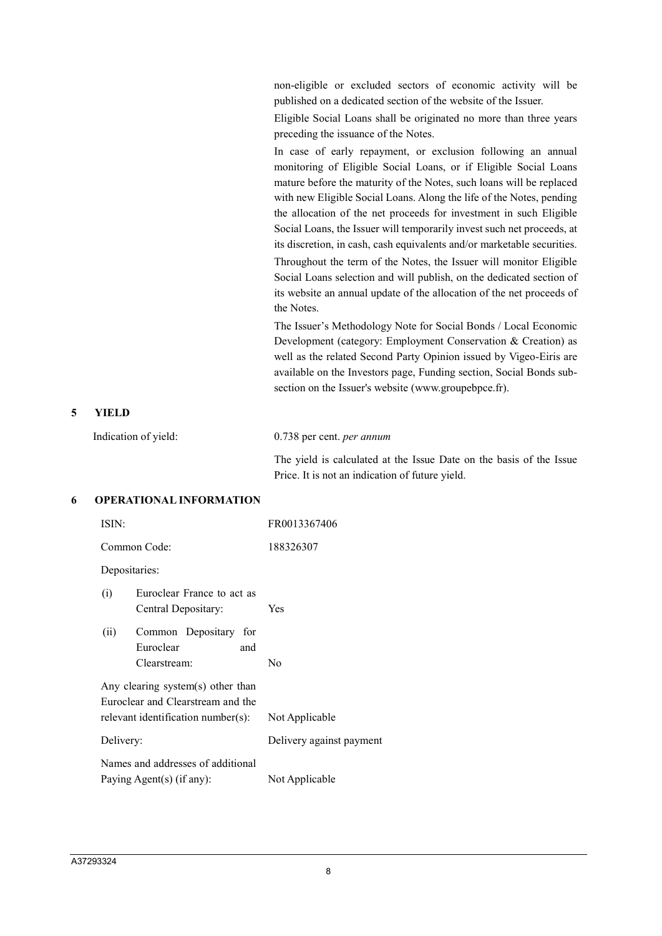non-eligible or excluded sectors of economic activity will be published on a dedicated section of the website of the Issuer.

Eligible Social Loans shall be originated no more than three years preceding the issuance of the Notes.

In case of early repayment, or exclusion following an annual monitoring of Eligible Social Loans, or if Eligible Social Loans mature before the maturity of the Notes, such loans will be replaced with new Eligible Social Loans. Along the life of the Notes, pending the allocation of the net proceeds for investment in such Eligible Social Loans, the Issuer will temporarily invest such net proceeds, at its discretion, in cash, cash equivalents and/or marketable securities.

Throughout the term of the Notes, the Issuer will monitor Eligible Social Loans selection and will publish, on the dedicated section of its website an annual update of the allocation of the net proceeds of the Notes.

The Issuer's Methodology Note for Social Bonds / Local Economic Development (category: Employment Conservation & Creation) as well as the related Second Party Opinion issued by Vigeo-Eiris are available on the Investors page, Funding section, Social Bonds subsection on the Issuer's website (www.groupebpce.fr).

#### **5 YIELD**

| Indication of yield: | $0.738$ per cent. <i>per annum</i>                                  |  |
|----------------------|---------------------------------------------------------------------|--|
|                      | The yield is calculated at the Issue Date on the basis of the Issue |  |
|                      | Price. It is not an indication of future yield.                     |  |

#### **6 OPERATIONAL INFORMATION**

| ISIN:                                                                                                        |                                                                | FR0013367406             |
|--------------------------------------------------------------------------------------------------------------|----------------------------------------------------------------|--------------------------|
| Common Code:                                                                                                 |                                                                | 188326307                |
|                                                                                                              | Depositaries:                                                  |                          |
| (i)                                                                                                          | Euroclear France to act as<br>Central Depositary:              | Yes                      |
| (ii)                                                                                                         | Common Depositary for<br>Euroclear<br>and<br>Clearstream:      | No                       |
| Any clearing system(s) other than<br>Euroclear and Clearstream and the<br>relevant identification number(s): |                                                                | Not Applicable           |
| Delivery:                                                                                                    |                                                                | Delivery against payment |
|                                                                                                              | Names and addresses of additional<br>Paying Agent(s) (if any): | Not Applicable           |